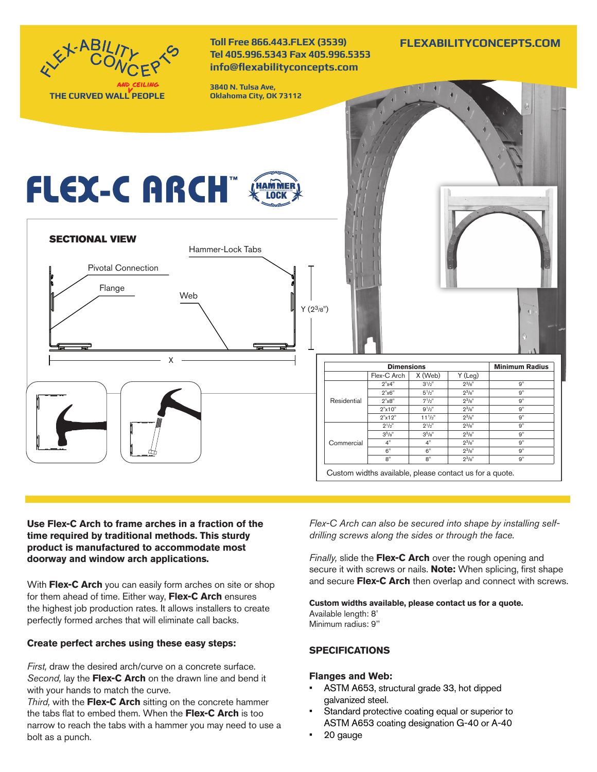

# **Use Flex-C Arch to frame arches in a fraction of the time required by traditional methods. This sturdy product is manufactured to accommodate most doorway and window arch applications.**

With **Flex-C Arch** you can easily form arches on site or shop for them ahead of time. Either way, **Flex-C Arch** ensures the highest job production rates. It allows installers to create perfectly formed arches that will eliminate call backs.

# **Create perfect arches using these easy steps:**

*First,* draw the desired arch/curve on a concrete surface. *Second,* lay the **Flex-C Arch** on the drawn line and bend it with your hands to match the curve.

*Third,* with the **Flex-C Arch** sitting on the concrete hammer the tabs flat to embed them. When the **Flex-C Arch** is too narrow to reach the tabs with a hammer you may need to use a bolt as a punch.

*Flex-C Arch can also be secured into shape by installing selfdrilling screws along the sides or through the face.*

*Finally,* slide the **Flex-C Arch** over the rough opening and secure it with screws or nails. **Note:** When splicing, first shape and secure **Flex-C Arch** then overlap and connect with screws.

**Custom widths available, please contact us for a quote.** Available length: 8' Minimum radius: 9''

# **SPECIFICATIONS**

# **Flanges and Web:**

- ASTM A653, structural grade 33, hot dipped galvanized steel.
- Standard protective coating equal or superior to ASTM A653 coating designation G-40 or A-40
- 20 gauge